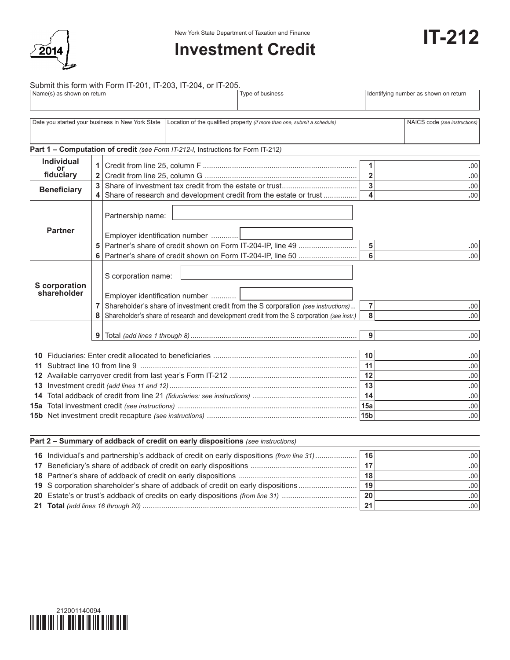

## New York State Department of Taxation and Finance<br> **IT-212**

Submit this form with Form IT-201, IT-203, IT-204, or IT-205.

|                                                            | Name(s) as shown on return                                                                                                |   | <b>DUDITII: UND TOITII WILLET ON LITELY 1, ITELYO, TTELYT, OF ITELYO</b>                                                                                                                                                                  | Type of business | Identifying number as shown on return |                          |
|------------------------------------------------------------|---------------------------------------------------------------------------------------------------------------------------|---|-------------------------------------------------------------------------------------------------------------------------------------------------------------------------------------------------------------------------------------------|------------------|---------------------------------------|--------------------------|
|                                                            |                                                                                                                           |   |                                                                                                                                                                                                                                           |                  |                                       |                          |
|                                                            | Date you started your business in New York State Location of the qualified property (if more than one, submit a schedule) |   | NAICS code (see instructions)                                                                                                                                                                                                             |                  |                                       |                          |
|                                                            |                                                                                                                           |   | Part 1 - Computation of credit (see Form IT-212-I, Instructions for Form IT-212)                                                                                                                                                          |                  |                                       |                          |
|                                                            | <b>Individual</b><br>or<br>fiduciary                                                                                      |   |                                                                                                                                                                                                                                           |                  | 1<br>$\overline{\mathbf{2}}$          | .00<br>.00               |
|                                                            | <b>Beneficiary</b><br>Share of research and development credit from the estate or trust                                   |   |                                                                                                                                                                                                                                           |                  | 3<br>$\overline{\mathbf{A}}$          | .00<br>.00               |
|                                                            | <b>Partner</b>                                                                                                            |   | Partnership name:<br>Employer identification number                                                                                                                                                                                       |                  | 5<br>$\overline{6}$                   | .00<br>.00               |
| <b>S</b> corporation<br>shareholder<br>$\overline{7}$<br>8 |                                                                                                                           |   | S corporation name:<br>Employer identification number<br>Shareholder's share of investment credit from the S corporation (see instructions)<br>Shareholder's share of research and development credit from the S corporation (see instr.) |                  | 7<br>8                                | .00<br>.00               |
|                                                            |                                                                                                                           | 9 |                                                                                                                                                                                                                                           |                  | 9                                     | .00                      |
| 11<br>13                                                   |                                                                                                                           |   |                                                                                                                                                                                                                                           |                  |                                       | .00<br>.00<br>.00<br>.00 |
| 14                                                         |                                                                                                                           |   |                                                                                                                                                                                                                                           |                  | 14                                    | .00<br>.00<br>.00        |

| Part 2 - Summary of addback of credit on early dispositions (see instructions)           |    |                  |  |  |  |  |  |
|------------------------------------------------------------------------------------------|----|------------------|--|--|--|--|--|
| 16 Individual's and partnership's addback of credit on early dispositions (from line 31) | 16 | .001             |  |  |  |  |  |
|                                                                                          | 17 | .00 <sub>1</sub> |  |  |  |  |  |
|                                                                                          | 18 | .00 <sub>1</sub> |  |  |  |  |  |
| 19 S corporation shareholder's share of addback of credit on early dispositions          | 19 | .001             |  |  |  |  |  |
| 20 Estate's or trust's addback of credits on early dispositions (from line 31)           | 20 | .001             |  |  |  |  |  |
|                                                                                          | 21 | .001             |  |  |  |  |  |